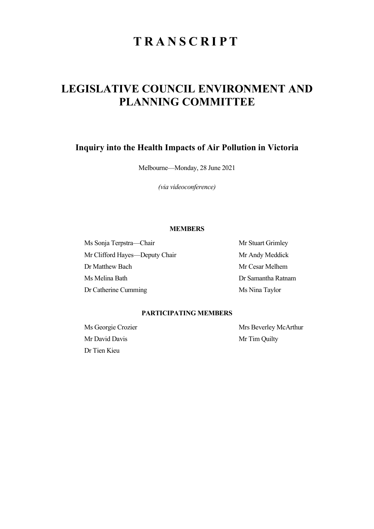# **TRANSCRIPT**

# LEGISLATIVE COUNCIL ENVIRONMENT AND PLANNING COMMITTEE

## Inquiry into the Health Impacts of Air Pollution in Victoria

Melbourne—Monday, 28 June 2021

(via videoconference)

### MEMBERS

Ms Sonja Terpstra—Chair Mr Stuart Grimley Mr Clifford Hayes—Deputy Chair Mr Andy Meddick Dr Matthew Bach Mr Cesar Melhem Ms Melina Bath Dr Samantha Ratnam Dr Catherine Cumming Ms Nina Taylor

### PARTICIPATING MEMBERS

Mr David Davis Mr Tim Quilty Dr Tien Kieu

Ms Georgie Crozier Mrs Beverley McArthur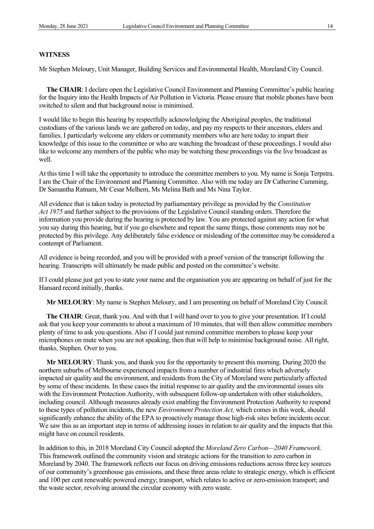#### **WITNESS**

Mr Stephen Meloury, Unit Manager, Building Services and Environmental Health, Moreland City Council.

The CHAIR: I declare open the Legislative Council Environment and Planning Committee's public hearing for the Inquiry into the Health Impacts of Air Pollution in Victoria. Please ensure that mobile phones have been switched to silent and that background noise is minimised.

I would like to begin this hearing by respectfully acknowledging the Aboriginal peoples, the traditional custodians of the various lands we are gathered on today, and pay my respects to their ancestors, elders and families. I particularly welcome any elders or community members who are here today to impart their knowledge of this issue to the committee or who are watching the broadcast of these proceedings. I would also like to welcome any members of the public who may be watching these proceedings via the live broadcast as well.

At this time I will take the opportunity to introduce the committee members to you. My name is Sonja Terpstra. I am the Chair of the Environment and Planning Committee. Also with me today are Dr Catherine Cumming, Dr Samantha Ratnam, Mr Cesar Melhem, Ms Melina Bath and Ms Nina Taylor.

All evidence that is taken today is protected by parliamentary privilege as provided by the Constitution Act 1975 and further subject to the provisions of the Legislative Council standing orders. Therefore the information you provide during the hearing is protected by law. You are protected against any action for what you say during this hearing, but if you go elsewhere and repeat the same things, those comments may not be protected by this privilege. Any deliberately false evidence or misleading of the committee may be considered a contempt of Parliament.

All evidence is being recorded, and you will be provided with a proof version of the transcript following the hearing. Transcripts will ultimately be made public and posted on the committee's website.

If I could please just get you to state your name and the organisation you are appearing on behalf of just for the Hansard record initially, thanks.

Mr MELOURY: My name is Stephen Meloury, and I am presenting on behalf of Moreland City Council.

The CHAIR: Great, thank you. And with that I will hand over to you to give your presentation. If I could ask that you keep your comments to about a maximum of 10 minutes, that will then allow committee members plenty of time to ask you questions. Also if I could just remind committee members to please keep your microphones on mute when you are not speaking, then that will help to minimise background noise. All right, thanks, Stephen. Over to you.

Mr MELOURY: Thank you, and thank you for the opportunity to present this morning. During 2020 the northern suburbs of Melbourne experienced impacts from a number of industrial fires which adversely impacted air quality and the environment, and residents from the City of Moreland were particularly affected by some of these incidents. In these cases the initial response to air quality and the environmental issues sits with the Environment Protection Authority, with subsequent follow-up undertaken with other stakeholders, including council. Although measures already exist enabling the Environment Protection Authority to respond to these types of pollution incidents, the new *Environment Protection Act*, which comes in this week, should significantly enhance the ability of the EPA to proactively manage those high-risk sites before incidents occur. We saw this as an important step in terms of addressing issues in relation to air quality and the impacts that this might have on council residents.

In addition to this, in 2018 Moreland City Council adopted the Moreland Zero Carbon—2040 Framework. This framework outlined the community vision and strategic actions for the transition to zero carbon in Moreland by 2040. The framework reflects our focus on driving emissions reductions across three key sources of our community's greenhouse gas emissions, and these three areas relate to strategic energy, which is efficient and 100 per cent renewable powered energy; transport, which relates to active or zero-emission transport; and the waste sector, revolving around the circular economy with zero waste.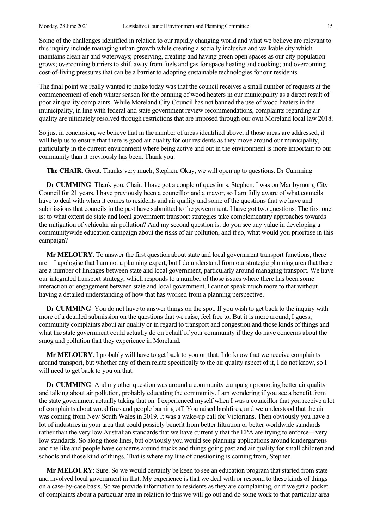Some of the challenges identified in relation to our rapidly changing world and what we believe are relevant to this inquiry include managing urban growth while creating a socially inclusive and walkable city which maintains clean air and waterways; preserving, creating and having green open spaces as our city population grows; overcoming barriers to shift away from fuels and gas for space heating and cooking; and overcoming cost-of-living pressures that can be a barrier to adopting sustainable technologies for our residents.

The final point we really wanted to make today was that the council receives a small number of requests at the commencement of each winter season for the banning of wood heaters in our municipality as a direct result of poor air quality complaints. While Moreland City Council has not banned the use of wood heaters in the municipality, in line with federal and state government review recommendations, complaints regarding air quality are ultimately resolved through restrictions that are imposed through our own Moreland local law 2018.

So just in conclusion, we believe that in the number of areas identified above, if those areas are addressed, it will help us to ensure that there is good air quality for our residents as they move around our municipality, particularly in the current environment where being active and out in the environment is more important to our community than it previously has been. Thank you.

The CHAIR: Great. Thanks very much, Stephen. Okay, we will open up to questions. Dr Cumming.

Dr CUMMING: Thank you, Chair. I have got a couple of questions, Stephen. I was on Maribyrnong City Council for 21 years. I have previously been a councillor and a mayor, so I am fully aware of what councils have to deal with when it comes to residents and air quality and some of the questions that we have and submissions that councils in the past have submitted to the government. I have got two questions. The first one is: to what extent do state and local government transport strategies take complementary approaches towards the mitigation of vehicular air pollution? And my second question is: do you see any value in developing a communitywide education campaign about the risks of air pollution, and if so, what would you prioritise in this campaign?

Mr MELOURY: To answer the first question about state and local government transport functions, there are—I apologise that I am not a planning expert, but I do understand from our strategic planning area that there are a number of linkages between state and local government, particularly around managing transport. We have our integrated transport strategy, which responds to a number of those issues where there has been some interaction or engagement between state and local government. I cannot speak much more to that without having a detailed understanding of how that has worked from a planning perspective.

Dr CUMMING: You do not have to answer things on the spot. If you wish to get back to the inquiry with more of a detailed submission on the questions that we raise, feel free to. But it is more around, I guess, community complaints about air quality or in regard to transport and congestion and those kinds of things and what the state government could actually do on behalf of your community if they do have concerns about the smog and pollution that they experience in Moreland.

Mr MELOURY: I probably will have to get back to you on that. I do know that we receive complaints around transport, but whether any of them relate specifically to the air quality aspect of it, I do not know, so I will need to get back to you on that.

Dr CUMMING: And my other question was around a community campaign promoting better air quality and talking about air pollution, probably educating the community. I am wondering if you see a benefit from the state government actually taking that on. I experienced myself when I was a councillor that you receive a lot of complaints about wood fires and people burning off. You raised bushfires, and we understood that the air was coming from New South Wales in 2019. It was a wake-up call for Victorians. Then obviously you have a lot of industries in your area that could possibly benefit from better filtration or better worldwide standards rather than the very low Australian standards that we have currently that the EPA are trying to enforce—very low standards. So along those lines, but obviously you would see planning applications around kindergartens and the like and people have concerns around trucks and things going past and air quality for small children and schools and those kind of things. That is where my line of questioning is coming from, Stephen.

Mr MELOURY: Sure. So we would certainly be keen to see an education program that started from state and involved local government in that. My experience is that we deal with or respond to these kinds of things on a case-by-case basis. So we provide information to residents as they are complaining, or if we get a pocket of complaints about a particular area in relation to this we will go out and do some work to that particular area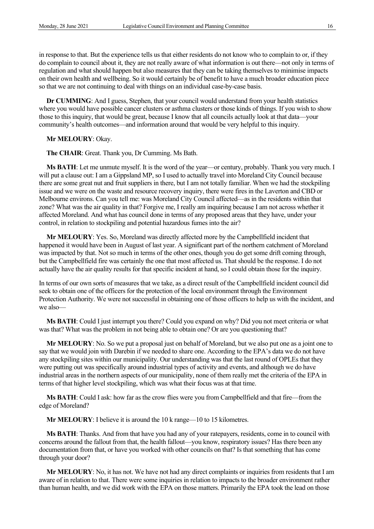in response to that. But the experience tells us that either residents do not know who to complain to or, if they do complain to council about it, they are not really aware of what information is out there—not only in terms of regulation and what should happen but also measures that they can be taking themselves to minimise impacts on their own health and wellbeing. So it would certainly be of benefit to have a much broader education piece so that we are not continuing to deal with things on an individual case-by-case basis.

Dr CUMMING: And I guess, Stephen, that your council would understand from your health statistics where you would have possible cancer clusters or asthma clusters or those kinds of things. If you wish to show those to this inquiry, that would be great, because I know that all councils actually look at that data—your community's health outcomes—and information around that would be very helpful to this inquiry.

#### Mr MELOURY: Okay.

The CHAIR: Great. Thank you, Dr Cumming. Ms Bath.

Ms BATH: Let me unmute myself. It is the word of the year—or century, probably. Thank you very much. I will put a clause out: I am a Gippsland MP, so I used to actually travel into Moreland City Council because there are some great nut and fruit suppliers in there, but I am not totally familiar. When we had the stockpiling issue and we were on the waste and resource recovery inquiry, there were fires in the Laverton and CBD or Melbourne environs. Can you tell me: was Moreland City Council affected—as in the residents within that zone? What was the air quality in that? Forgive me, I really am inquiring because I am not across whether it affected Moreland. And what has council done in terms of any proposed areas that they have, under your control, in relation to stockpiling and potential hazardous fumes into the air?

Mr MELOURY: Yes. So, Moreland was directly affected more by the Campbellfield incident that happened it would have been in August of last year. A significant part of the northern catchment of Moreland was impacted by that. Not so much in terms of the other ones, though you do get some drift coming through, but the Campbellfield fire was certainly the one that most affected us. That should be the response. I do not actually have the air quality results for that specific incident at hand, so I could obtain those for the inquiry.

In terms of our own sorts of measures that we take, as a direct result of the Campbellfield incident council did seek to obtain one of the officers for the protection of the local environment through the Environment Protection Authority. We were not successful in obtaining one of those officers to help us with the incident, and we also—

Ms BATH: Could I just interrupt you there? Could you expand on why? Did you not meet criteria or what was that? What was the problem in not being able to obtain one? Or are you questioning that?

Mr MELOURY: No. So we put a proposal just on behalf of Moreland, but we also put one as a joint one to say that we would join with Darebin if we needed to share one. According to the EPA's data we do not have any stockpiling sites within our municipality. Our understanding was that the last round of OPLEs that they were putting out was specifically around industrial types of activity and events, and although we do have industrial areas in the northern aspects of our municipality, none of them really met the criteria of the EPA in terms of that higher level stockpiling, which was what their focus was at that time.

Ms BATH: Could I ask: how far as the crow flies were you from Campbellfield and that fire—from the edge of Moreland?

Mr MELOURY: I believe it is around the 10 k range—10 to 15 kilometres.

Ms BATH: Thanks. And from that have you had any of your ratepayers, residents, come in to council with concerns around the fallout from that, the health fallout—you know, respiratory issues? Has there been any documentation from that, or have you worked with other councils on that? Is that something that has come through your door?

Mr MELOURY: No, it has not. We have not had any direct complaints or inquiries from residents that I am aware of in relation to that. There were some inquiries in relation to impacts to the broader environment rather than human health, and we did work with the EPA on those matters. Primarily the EPA took the lead on those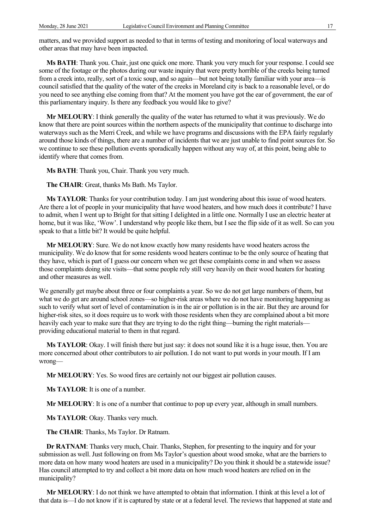matters, and we provided support as needed to that in terms of testing and monitoring of local waterways and other areas that may have been impacted.

Ms BATH: Thank you. Chair, just one quick one more. Thank you very much for your response. I could see some of the footage or the photos during our waste inquiry that were pretty horrible of the creeks being turned from a creek into, really, sort of a toxic soup, and so again—but not being totally familiar with your area—is council satisfied that the quality of the water of the creeks in Moreland city is back to a reasonable level, or do you need to see anything else coming from that? At the moment you have got the ear of government, the ear of this parliamentary inquiry. Is there any feedback you would like to give?

Mr MELOURY: I think generally the quality of the water has returned to what it was previously. We do know that there are point sources within the northern aspects of the municipality that continue to discharge into waterways such as the Merri Creek, and while we have programs and discussions with the EPA fairly regularly around those kinds of things, there are a number of incidents that we are just unable to find point sources for. So we continue to see these pollution events sporadically happen without any way of, at this point, being able to identify where that comes from.

Ms BATH: Thank you, Chair. Thank you very much.

The CHAIR: Great, thanks Ms Bath. Ms Taylor.

Ms TAYLOR: Thanks for your contribution today. I am just wondering about this issue of wood heaters. Are there a lot of people in your municipality that have wood heaters, and how much does it contribute? I have to admit, when I went up to Bright for that sitting I delighted in a little one. Normally I use an electric heater at home, but it was like, 'Wow'. I understand why people like them, but I see the flip side of it as well. So can you speak to that a little bit? It would be quite helpful.

Mr MELOURY: Sure. We do not know exactly how many residents have wood heaters across the municipality. We do know that for some residents wood heaters continue to be the only source of heating that they have, which is part of I guess our concern when we get these complaints come in and when we assess those complaints doing site visits—that some people rely still very heavily on their wood heaters for heating and other measures as well.

We generally get maybe about three or four complaints a year. So we do not get large numbers of them, but what we do get are around school zones—so higher-risk areas where we do not have monitoring happening as such to verify what sort of level of contamination is in the air or pollution is in the air. But they are around for higher-risk sites, so it does require us to work with those residents when they are complained about a bit more heavily each year to make sure that they are trying to do the right thing—burning the right materialsproviding educational material to them in that regard.

Ms TAYLOR: Okay. I will finish there but just say: it does not sound like it is a huge issue, then. You are more concerned about other contributors to air pollution. I do not want to put words in your mouth. If I am wrong—

Mr MELOURY: Yes. So wood fires are certainly not our biggest air pollution causes.

Ms TAYLOR: It is one of a number.

Mr MELOURY: It is one of a number that continue to pop up every year, although in small numbers.

Ms TAYLOR: Okay. Thanks very much.

The CHAIR: Thanks, Ms Taylor. Dr Ratnam.

Dr RATNAM: Thanks very much, Chair. Thanks, Stephen, for presenting to the inquiry and for your submission as well. Just following on from Ms Taylor's question about wood smoke, what are the barriers to more data on how many wood heaters are used in a municipality? Do you think it should be a statewide issue? Has council attempted to try and collect a bit more data on how much wood heaters are relied on in the municipality?

Mr MELOURY: I do not think we have attempted to obtain that information. I think at this level a lot of that data is—I do not know if it is captured by state or at a federal level. The reviews that happened at state and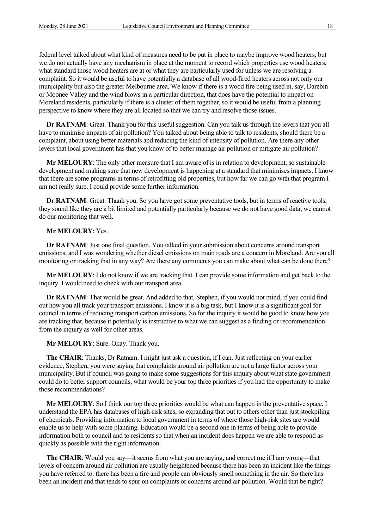federal level talked about what kind of measures need to be put in place to maybe improve wood heaters, but we do not actually have any mechanism in place at the moment to record which properties use wood heaters, what standard those wood heaters are at or what they are particularly used for unless we are resolving a complaint. So it would be useful to have potentially a database of all wood-fired heaters across not only our municipality but also the greater Melbourne area. We know if there is a wood fire being used in, say, Darebin or Moonee Valley and the wind blows in a particular direction, that does have the potential to impact on Moreland residents, particularly if there is a cluster of them together, so it would be useful from a planning perspective to know where they are all located so that we can try and resolve those issues.

Dr RATNAM: Great. Thank you for this useful suggestion. Can you talk us through the levers that you all have to minimise impacts of air pollution? You talked about being able to talk to residents, should there be a complaint, about using better materials and reducing the kind of intensity of pollution. Are there any other levers that local government has that you know of to better manage air pollution or mitigate air pollution?

Mr MELOURY: The only other measure that I am aware of is in relation to development, so sustainable development and making sure that new development is happening at a standard that minimises impacts. I know that there are some programs in terms of retrofitting old properties, but how far we can go with that program I am not really sure. I could provide some further information.

Dr RATNAM: Great. Thank you. So you have got some preventative tools, but in terms of reactive tools, they sound like they are a bit limited and potentially particularly because we do not have good data; we cannot do our monitoring that well.

#### Mr MELOURY: Yes.

Dr RATNAM: Just one final question. You talked in your submission about concerns around transport emissions, and I was wondering whether diesel emissions on main roads are a concern in Moreland. Are you all monitoring or tracking that in any way? Are there any comments you can make about what can be done there?

Mr MELOURY: I do not know if we are tracking that. I can provide some information and get back to the inquiry. I would need to check with our transport area.

Dr RATNAM: That would be great. And added to that, Stephen, if you would not mind, if you could find out how you all track your transport emissions. I know it is a big task, but I know it is a significant goal for council in terms of reducing transport carbon emissions. So for the inquiry it would be good to know how you are tracking that, because it potentially is instructive to what we can suggest as a finding or recommendation from the inquiry as well for other areas.

#### Mr MELOURY: Sure. Okay. Thank you.

The CHAIR: Thanks, Dr Ratnam. I might just ask a question, if I can. Just reflecting on your earlier evidence, Stephen, you were saying that complaints around air pollution are not a large factor across your municipality. But if council was going to make some suggestions for this inquiry about what state government could do to better support councils, what would be your top three priorities if you had the opportunity to make those recommendations?

Mr MELOURY: So I think our top three priorities would be what can happen in the preventative space. I understand the EPA has databases of high-risk sites, so expanding that out to others other than just stockpiling of chemicals. Providing information to local government in terms of where those high-risk sites are would enable us to help with some planning. Education would be a second one in terms of being able to provide information both to council and to residents so that when an incident does happen we are able to respond as quickly as possible with the right information.

The CHAIR: Would you say—it seems from what you are saying, and correct me if I am wrong—that levels of concern around air pollution are usually heightened because there has been an incident like the things you have referred to: there has been a fire and people can obviously smell something in the air. So there has been an incident and that tends to spur on complaints or concerns around air pollution. Would that be right?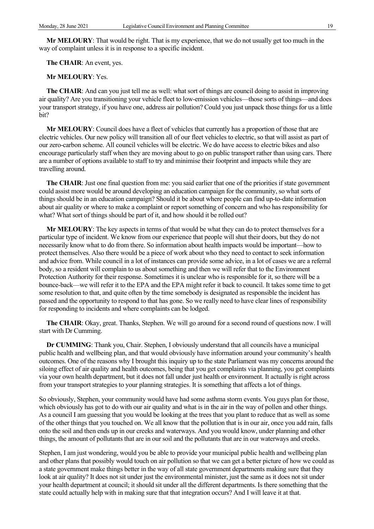Mr MELOURY: That would be right. That is my experience, that we do not usually get too much in the way of complaint unless it is in response to a specific incident.

The CHAIR: An event, yes.

#### Mr MELOURY: Yes.

The CHAIR: And can you just tell me as well: what sort of things are council doing to assist in improving air quality? Are you transitioning your vehicle fleet to low-emission vehicles—those sorts of things—and does your transport strategy, if you have one, address air pollution? Could you just unpack those things for us a little bit?

Mr MELOURY: Council does have a fleet of vehicles that currently has a proportion of those that are electric vehicles. Our new policy will transition all of our fleet vehicles to electric, so that will assist as part of our zero-carbon scheme. All council vehicles will be electric. We do have access to electric bikes and also encourage particularly staff when they are moving about to go on public transport rather than using cars. There are a number of options available to staff to try and minimise their footprint and impacts while they are travelling around.

The CHAIR: Just one final question from me: you said earlier that one of the priorities if state government could assist more would be around developing an education campaign for the community, so what sorts of things should be in an education campaign? Should it be about where people can find up-to-date information about air quality or where to make a complaint or report something of concern and who has responsibility for what? What sort of things should be part of it, and how should it be rolled out?

Mr MELOURY: The key aspects in terms of that would be what they can do to protect themselves for a particular type of incident. We know from our experience that people will shut their doors, but they do not necessarily know what to do from there. So information about health impacts would be important—how to protect themselves. Also there would be a piece of work about who they need to contact to seek information and advice from. While council in a lot of instances can provide some advice, in a lot of cases we are a referral body, so a resident will complain to us about something and then we will refer that to the Environment Protection Authority for their response. Sometimes it is unclear who is responsible for it, so there will be a bounce-back—we will refer it to the EPA and the EPA might refer it back to council. It takes some time to get some resolution to that, and quite often by the time somebody is designated as responsible the incident has passed and the opportunity to respond to that has gone. So we really need to have clear lines of responsibility for responding to incidents and where complaints can be lodged.

The CHAIR: Okay, great. Thanks, Stephen. We will go around for a second round of questions now. I will start with Dr Cumming.

Dr CUMMING: Thank you, Chair. Stephen, I obviously understand that all councils have a municipal public health and wellbeing plan, and that would obviously have information around your community's health outcomes. One of the reasons why I brought this inquiry up to the state Parliament was my concerns around the siloing effect of air quality and health outcomes, being that you get complaints via planning, you get complaints via your own health department, but it does not fall under just health or environment. It actually is right across from your transport strategies to your planning strategies. It is something that affects a lot of things.

So obviously, Stephen, your community would have had some asthma storm events. You guys plan for those, which obviously has got to do with our air quality and what is in the air in the way of pollen and other things. As a council I am guessing that you would be looking at the trees that you plant to reduce that as well as some of the other things that you touched on. We all know that the pollution that is in our air, once you add rain, falls onto the soil and then ends up in our creeks and waterways. And you would know, under planning and other things, the amount of pollutants that are in our soil and the pollutants that are in our waterways and creeks.

Stephen, I am just wondering, would you be able to provide your municipal public health and wellbeing plan and other plans that possibly would touch on air pollution so that we can get a better picture of how we could as a state government make things better in the way of all state government departments making sure that they look at air quality? It does not sit under just the environmental minister, just the same as it does not sit under your health department at council; it should sit under all the different departments. Is there something that the state could actually help with in making sure that that integration occurs? And I will leave it at that.